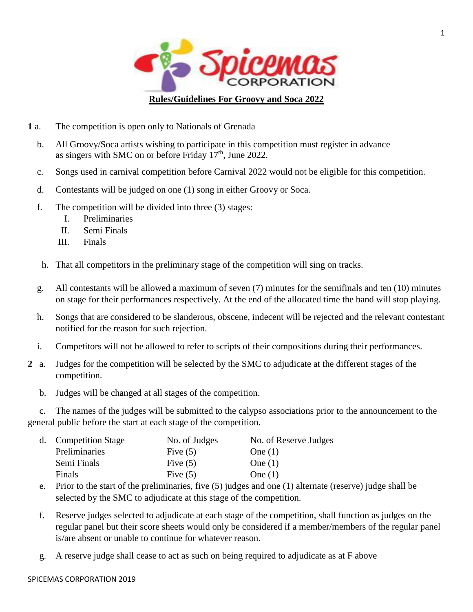

- **1** a. The competition is open only to Nationals of Grenada
	- b. All Groovy/Soca artists wishing to participate in this competition must register in advance as singers with SMC on or before Friday  $17<sup>th</sup>$ , June 2022.
	- c. Songs used in carnival competition before Carnival 2022 would not be eligible for this competition.
	- d. Contestants will be judged on one (1) song in either Groovy or Soca.
	- f. The competition will be divided into three (3) stages:
		- I. Preliminaries
		- II. Semi Finals
		- III. Finals
	- h. That all competitors in the preliminary stage of the competition will sing on tracks.
	- g. All contestants will be allowed a maximum of seven (7) minutes for the semifinals and ten (10) minutes on stage for their performances respectively. At the end of the allocated time the band will stop playing.
	- h. Songs that are considered to be slanderous, obscene, indecent will be rejected and the relevant contestant notified for the reason for such rejection.
	- i. Competitors will not be allowed to refer to scripts of their compositions during their performances.
- **2** a. Judges for the competition will be selected by the SMC to adjudicate at the different stages of the competition.
	- b. Judges will be changed at all stages of the competition.

 c. The names of the judges will be submitted to the calypso associations prior to the announcement to the general public before the start at each stage of the competition.

|  | d. Competition Stage | No. of Judges | No. of Reserve Judges |
|--|----------------------|---------------|-----------------------|
|  | Preliminaries        | Five $(5)$    | One $(1)$             |
|  | Semi Finals          | Five $(5)$    | One $(1)$             |
|  | Finals               | Five $(5)$    | One $(1)$             |

- e. Prior to the start of the preliminaries, five (5) judges and one (1) alternate (reserve) judge shall be selected by the SMC to adjudicate at this stage of the competition.
- f. Reserve judges selected to adjudicate at each stage of the competition, shall function as judges on the regular panel but their score sheets would only be considered if a member/members of the regular panel is/are absent or unable to continue for whatever reason.
- g. A reserve judge shall cease to act as such on being required to adjudicate as at F above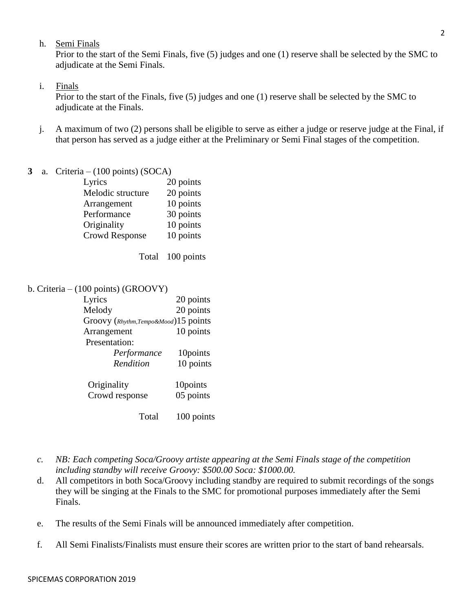h. Semi Finals

Prior to the start of the Semi Finals, five (5) judges and one (1) reserve shall be selected by the SMC to adjudicate at the Semi Finals.

#### i. Finals

Prior to the start of the Finals, five (5) judges and one (1) reserve shall be selected by the SMC to adjudicate at the Finals.

- j. A maximum of two (2) persons shall be eligible to serve as either a judge or reserve judge at the Final, if that person has served as a judge either at the Preliminary or Semi Final stages of the competition.
- **3** a. Criteria (100 points) (SOCA)

| Lyrics                | 20 points |
|-----------------------|-----------|
| Melodic structure     | 20 points |
| Arrangement           | 10 points |
| Performance           | 30 points |
| Originality           | 10 points |
| <b>Crowd Response</b> | 10 points |
|                       |           |

Total 100 points

b. Criteria – (100 points) (GROOVY)

| Lyrics                               | 20 points  |
|--------------------------------------|------------|
| Melody                               | 20 points  |
| Groovy (Rhythm, Tempo&Mood)15 points |            |
| Arrangement                          | 10 points  |
| Presentation:                        |            |
| Performance                          | 10points   |
| Rendition                            | 10 points  |
| Originality                          | 10points   |
| Crowd response                       | 05 points  |
| Total                                | 100 points |

- *c. NB: Each competing Soca/Groovy artiste appearing at the Semi Finals stage of the competition including standby will receive Groovy: \$500.00 Soca: \$1000.00.*
- d. All competitors in both Soca/Groovy including standby are required to submit recordings of the songs they will be singing at the Finals to the SMC for promotional purposes immediately after the Semi Finals.
- e. The results of the Semi Finals will be announced immediately after competition.
- f. All Semi Finalists/Finalists must ensure their scores are written prior to the start of band rehearsals.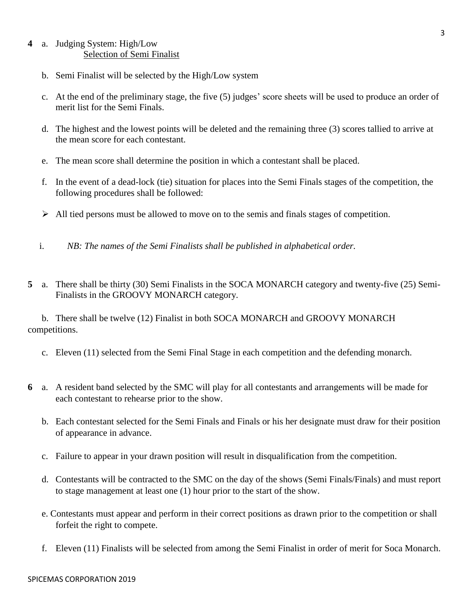### **4** a. Judging System: High/Low Selection of Semi Finalist

- b. Semi Finalist will be selected by the High/Low system
- c. At the end of the preliminary stage, the five (5) judges' score sheets will be used to produce an order of merit list for the Semi Finals.
- d. The highest and the lowest points will be deleted and the remaining three (3) scores tallied to arrive at the mean score for each contestant.
- e. The mean score shall determine the position in which a contestant shall be placed.
- f. In the event of a dead-lock (tie) situation for places into the Semi Finals stages of the competition, the following procedures shall be followed:
- $\triangleright$  All tied persons must be allowed to move on to the semis and finals stages of competition.
- i. *NB: The names of the Semi Finalists shall be published in alphabetical order.*
- **5** a. There shall be thirty (30) Semi Finalists in the SOCA MONARCH category and twenty-five (25) Semi-Finalists in the GROOVY MONARCH category.

 b. There shall be twelve (12) Finalist in both SOCA MONARCH and GROOVY MONARCH competitions.

- c. Eleven (11) selected from the Semi Final Stage in each competition and the defending monarch.
- **6** a. A resident band selected by the SMC will play for all contestants and arrangements will be made for each contestant to rehearse prior to the show.
	- b. Each contestant selected for the Semi Finals and Finals or his her designate must draw for their position of appearance in advance.
	- c. Failure to appear in your drawn position will result in disqualification from the competition.
	- d. Contestants will be contracted to the SMC on the day of the shows (Semi Finals/Finals) and must report to stage management at least one (1) hour prior to the start of the show.
	- e. Contestants must appear and perform in their correct positions as drawn prior to the competition or shall forfeit the right to compete.
	- f. Eleven (11) Finalists will be selected from among the Semi Finalist in order of merit for Soca Monarch.